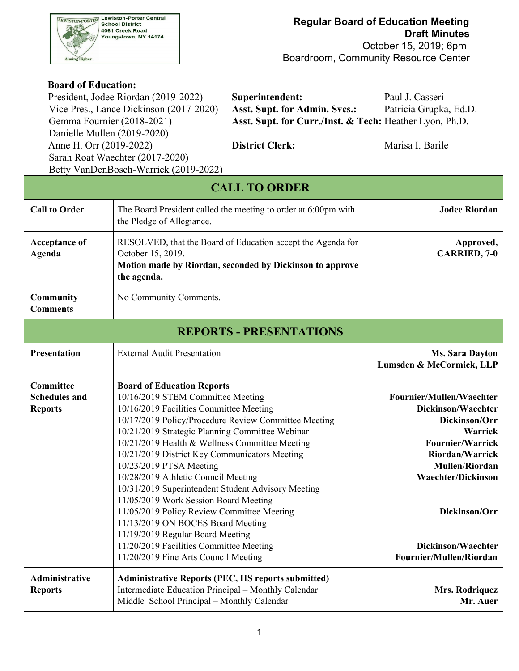

 October 15, 2019; 6pm Boardroom, Community Resource Center

#### **Board of Education:**

Danielle Mullen (2019-2020) Anne H. Orr (2019-2022) **District Clerk:** Marisa I. Barile Sarah Roat Waechter (2017-2020) Betty VanDenBosch-Warrick (2019-2022)

President, Jodee Riordan (2019-2022) **Superintendent:** Paul J. Casseri Vice Pres., Lance Dickinson (2017-2020) **Asst. Supt. for Admin. Svcs.:** Patricia Grupka, Ed.D. Gemma Fournier (2018-2021) **Asst. Supt. for Curr./Inst. & Tech:** Heather Lyon, Ph.D.

|                                                     | <b>CALL TO ORDER</b>                                                                                                                                                                                                                                                                                                                                                                                                                                                                                                                                                                                                                                                                                       |                                                                                                                                                                                                                                                         |
|-----------------------------------------------------|------------------------------------------------------------------------------------------------------------------------------------------------------------------------------------------------------------------------------------------------------------------------------------------------------------------------------------------------------------------------------------------------------------------------------------------------------------------------------------------------------------------------------------------------------------------------------------------------------------------------------------------------------------------------------------------------------------|---------------------------------------------------------------------------------------------------------------------------------------------------------------------------------------------------------------------------------------------------------|
| <b>Call to Order</b>                                | The Board President called the meeting to order at 6:00pm with<br>the Pledge of Allegiance.                                                                                                                                                                                                                                                                                                                                                                                                                                                                                                                                                                                                                | <b>Jodee Riordan</b>                                                                                                                                                                                                                                    |
| <b>Acceptance of</b><br>Agenda                      | Approved,<br><b>CARRIED, 7-0</b>                                                                                                                                                                                                                                                                                                                                                                                                                                                                                                                                                                                                                                                                           |                                                                                                                                                                                                                                                         |
| Community<br><b>Comments</b>                        | No Community Comments.                                                                                                                                                                                                                                                                                                                                                                                                                                                                                                                                                                                                                                                                                     |                                                                                                                                                                                                                                                         |
|                                                     | <b>REPORTS - PRESENTATIONS</b>                                                                                                                                                                                                                                                                                                                                                                                                                                                                                                                                                                                                                                                                             |                                                                                                                                                                                                                                                         |
| <b>Presentation</b>                                 | <b>External Audit Presentation</b>                                                                                                                                                                                                                                                                                                                                                                                                                                                                                                                                                                                                                                                                         | <b>Ms. Sara Dayton</b><br>Lumsden & McCormick, LLP                                                                                                                                                                                                      |
| Committee<br><b>Schedules and</b><br><b>Reports</b> | <b>Board of Education Reports</b><br>10/16/2019 STEM Committee Meeting<br>10/16/2019 Facilities Committee Meeting<br>10/17/2019 Policy/Procedure Review Committee Meeting<br>10/21/2019 Strategic Planning Committee Webinar<br>10/21/2019 Health & Wellness Committee Meeting<br>10/21/2019 District Key Communicators Meeting<br>10/23/2019 PTSA Meeting<br>10/28/2019 Athletic Council Meeting<br>10/31/2019 Superintendent Student Advisory Meeting<br>11/05/2019 Work Session Board Meeting<br>11/05/2019 Policy Review Committee Meeting<br>11/13/2019 ON BOCES Board Meeting<br>11/19/2019 Regular Board Meeting<br>11/20/2019 Facilities Committee Meeting<br>11/20/2019 Fine Arts Council Meeting | Fournier/Mullen/Waechter<br>Dickinson/Waechter<br>Dickinson/Orr<br>Warrick<br><b>Fournier/Warrick</b><br><b>Riordan/Warrick</b><br><b>Mullen/Riordan</b><br><b>Waechter/Dickinson</b><br>Dickinson/Orr<br>Dickinson/Waechter<br>Fournier/Mullen/Riordan |
| Administrative<br><b>Reports</b>                    | <b>Administrative Reports (PEC, HS reports submitted)</b><br>Intermediate Education Principal - Monthly Calendar<br>Middle School Principal - Monthly Calendar                                                                                                                                                                                                                                                                                                                                                                                                                                                                                                                                             | Mrs. Rodriquez<br>Mr. Auer                                                                                                                                                                                                                              |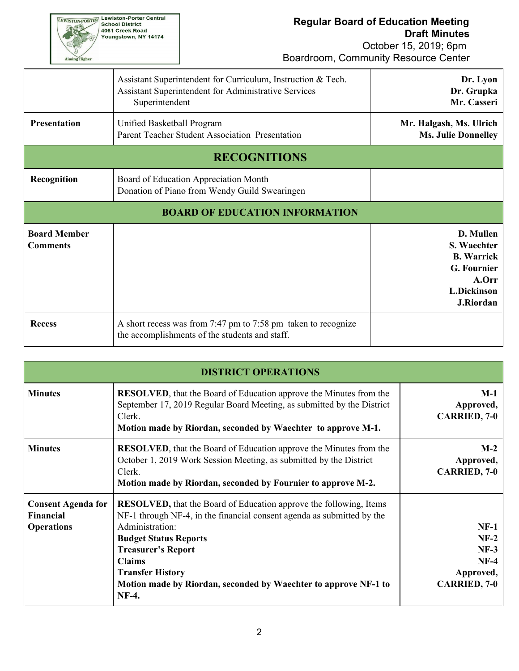

|                                        | Assistant Superintendent for Curriculum, Instruction & Tech.<br>Assistant Superintendent for Administrative Services<br>Superintendent | Dr. Lyon<br>Dr. Grupka<br>Mr. Casseri                                                                    |
|----------------------------------------|----------------------------------------------------------------------------------------------------------------------------------------|----------------------------------------------------------------------------------------------------------|
| <b>Presentation</b>                    | Unified Basketball Program<br>Parent Teacher Student Association Presentation                                                          |                                                                                                          |
|                                        | <b>RECOGNITIONS</b>                                                                                                                    |                                                                                                          |
| Recognition                            | Board of Education Appreciation Month<br>Donation of Piano from Wendy Guild Swearingen                                                 |                                                                                                          |
|                                        | <b>BOARD OF EDUCATION INFORMATION</b>                                                                                                  |                                                                                                          |
| <b>Board Member</b><br><b>Comments</b> |                                                                                                                                        | D. Mullen<br>S. Waechter<br><b>B.</b> Warrick<br>G. Fournier<br>A.Orr<br><b>L.Dickinson</b><br>J.Riordan |
| <b>Recess</b>                          | A short recess was from 7:47 pm to 7:58 pm taken to recognize<br>the accomplishments of the students and staff.                        |                                                                                                          |

|                                                             | <b>DISTRICT OPERATIONS</b>                                                                                                                                                                                                                                                                                                                                  |                                                                          |
|-------------------------------------------------------------|-------------------------------------------------------------------------------------------------------------------------------------------------------------------------------------------------------------------------------------------------------------------------------------------------------------------------------------------------------------|--------------------------------------------------------------------------|
| <b>Minutes</b>                                              | <b>RESOLVED</b> , that the Board of Education approve the Minutes from the<br>September 17, 2019 Regular Board Meeting, as submitted by the District<br>Clerk.<br>Motion made by Riordan, seconded by Waechter to approve M-1.                                                                                                                              | $M-1$<br>Approved,<br><b>CARRIED, 7-0</b>                                |
| <b>Minutes</b>                                              | <b>RESOLVED</b> , that the Board of Education approve the Minutes from the<br>October 1, 2019 Work Session Meeting, as submitted by the District<br>Clerk.<br>Motion made by Riordan, seconded by Fournier to approve M-2.                                                                                                                                  | $M-2$<br>Approved,<br><b>CARRIED, 7-0</b>                                |
| <b>Consent Agenda for</b><br>Financial<br><b>Operations</b> | <b>RESOLVED, that the Board of Education approve the following, Items</b><br>NF-1 through NF-4, in the financial consent agenda as submitted by the<br>Administration:<br><b>Budget Status Reports</b><br><b>Treasurer's Report</b><br><b>Claims</b><br><b>Transfer History</b><br>Motion made by Riordan, seconded by Waechter to approve NF-1 to<br>NF-4. | $NF-1$<br>$NF-2$<br>$NF-3$<br>$NF-4$<br>Approved,<br><b>CARRIED, 7-0</b> |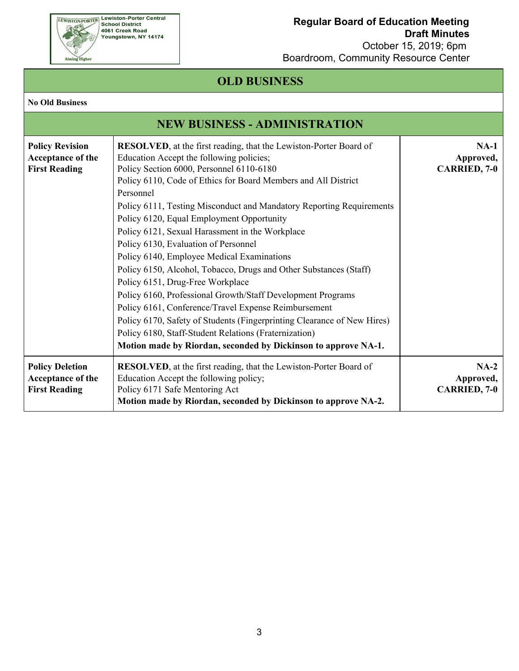

 October 15, 2019; 6pm Boardroom, Community Resource Center

# **OLD BUSINESS**

#### **No Old Business**

|                                                                     | <b>NEW BUSINESS - ADMINISTRATION</b>                                                                                                                                                                                                                                                                                                                                                                                                                                                                                                                                                                                                                                                                                                                                                                                                                                                                                                                 |                                            |
|---------------------------------------------------------------------|------------------------------------------------------------------------------------------------------------------------------------------------------------------------------------------------------------------------------------------------------------------------------------------------------------------------------------------------------------------------------------------------------------------------------------------------------------------------------------------------------------------------------------------------------------------------------------------------------------------------------------------------------------------------------------------------------------------------------------------------------------------------------------------------------------------------------------------------------------------------------------------------------------------------------------------------------|--------------------------------------------|
| <b>Policy Revision</b><br>Acceptance of the<br><b>First Reading</b> | <b>RESOLVED</b> , at the first reading, that the Lewiston-Porter Board of<br>Education Accept the following policies;<br>Policy Section 6000, Personnel 6110-6180<br>Policy 6110, Code of Ethics for Board Members and All District<br>Personnel<br>Policy 6111, Testing Misconduct and Mandatory Reporting Requirements<br>Policy 6120, Equal Employment Opportunity<br>Policy 6121, Sexual Harassment in the Workplace<br>Policy 6130, Evaluation of Personnel<br>Policy 6140, Employee Medical Examinations<br>Policy 6150, Alcohol, Tobacco, Drugs and Other Substances (Staff)<br>Policy 6151, Drug-Free Workplace<br>Policy 6160, Professional Growth/Staff Development Programs<br>Policy 6161, Conference/Travel Expense Reimbursement<br>Policy 6170, Safety of Students (Fingerprinting Clearance of New Hires)<br>Policy 6180, Staff-Student Relations (Fraternization)<br>Motion made by Riordan, seconded by Dickinson to approve NA-1. | $NA-1$<br>Approved,<br><b>CARRIED, 7-0</b> |
| <b>Policy Deletion</b><br>Acceptance of the<br><b>First Reading</b> | <b>RESOLVED</b> , at the first reading, that the Lewiston-Porter Board of<br>Education Accept the following policy;<br>Policy 6171 Safe Mentoring Act<br>Motion made by Riordan, seconded by Dickinson to approve NA-2.                                                                                                                                                                                                                                                                                                                                                                                                                                                                                                                                                                                                                                                                                                                              | $NA-2$<br>Approved,<br><b>CARRIED, 7-0</b> |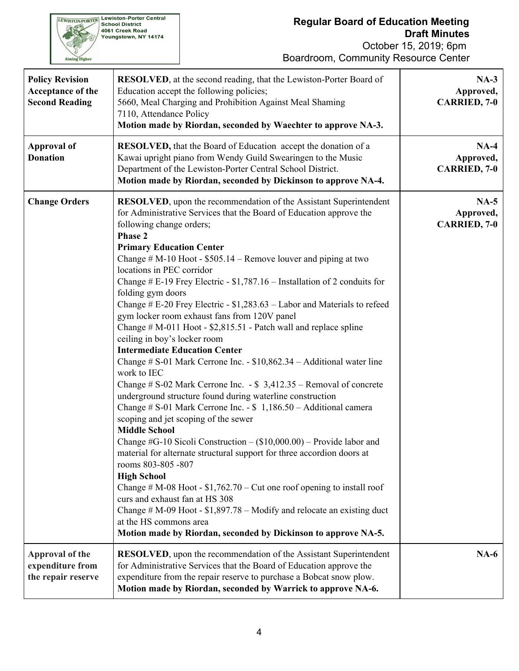October 15, 2019; 6pm Boardroom, Community Resource Center

| <b>Policy Revision</b><br>Acceptance of the<br><b>Second Reading</b> | <b>RESOLVED</b> , at the second reading, that the Lewiston-Porter Board of<br>Education accept the following policies;<br>5660, Meal Charging and Prohibition Against Meal Shaming<br>7110, Attendance Policy<br>Motion made by Riordan, seconded by Waechter to approve NA-3.                                                                                                                                                                                                                                                                                                                                                                                                                                                                                                                                                                                                                                                                                                                                                                                                                                                                                                                                                                                                                                                                                                                                                                                                                                                                                            | $NA-3$<br>Approved,<br><b>CARRIED, 7-0</b> |
|----------------------------------------------------------------------|---------------------------------------------------------------------------------------------------------------------------------------------------------------------------------------------------------------------------------------------------------------------------------------------------------------------------------------------------------------------------------------------------------------------------------------------------------------------------------------------------------------------------------------------------------------------------------------------------------------------------------------------------------------------------------------------------------------------------------------------------------------------------------------------------------------------------------------------------------------------------------------------------------------------------------------------------------------------------------------------------------------------------------------------------------------------------------------------------------------------------------------------------------------------------------------------------------------------------------------------------------------------------------------------------------------------------------------------------------------------------------------------------------------------------------------------------------------------------------------------------------------------------------------------------------------------------|--------------------------------------------|
| <b>Approval of</b><br><b>Donation</b>                                | <b>RESOLVED</b> , that the Board of Education accept the donation of a<br>Kawai upright piano from Wendy Guild Swearingen to the Music<br>Department of the Lewiston-Porter Central School District.<br>Motion made by Riordan, seconded by Dickinson to approve NA-4.                                                                                                                                                                                                                                                                                                                                                                                                                                                                                                                                                                                                                                                                                                                                                                                                                                                                                                                                                                                                                                                                                                                                                                                                                                                                                                    | $NA-4$<br>Approved,<br><b>CARRIED, 7-0</b> |
| <b>Change Orders</b>                                                 | <b>RESOLVED</b> , upon the recommendation of the Assistant Superintendent<br>for Administrative Services that the Board of Education approve the<br>following change orders;<br>Phase 2<br><b>Primary Education Center</b><br>Change $# M-10$ Hoot - \$505.14 – Remove louver and piping at two<br>locations in PEC corridor<br>Change # E-19 Frey Electric - $$1,787.16$ – Installation of 2 conduits for<br>folding gym doors<br>Change # E-20 Frey Electric - \$1,283.63 - Labor and Materials to refeed<br>gym locker room exhaust fans from 120V panel<br>Change $# M-011$ Hoot - \$2,815.51 - Patch wall and replace spline<br>ceiling in boy's locker room<br><b>Intermediate Education Center</b><br>Change $\# S$ -01 Mark Cerrone Inc. - \$10,862.34 – Additional water line<br>work to IEC<br>Change # $S-02$ Mark Cerrone Inc. $-S$ 3,412.35 – Removal of concrete<br>underground structure found during waterline construction<br>Change # $S-01$ Mark Cerrone Inc. - $\ $1,186.50 -$ Additional camera<br>scoping and jet scoping of the sewer<br><b>Middle School</b><br>Change #G-10 Sicoli Construction $-$ (\$10,000.00) – Provide labor and<br>material for alternate structural support for three accordion doors at<br>rooms 803-805 -807<br><b>High School</b><br>Change # M-08 Hoot - $$1,762.70$ – Cut one roof opening to install roof<br>curs and exhaust fan at HS 308<br>Change $# M-09$ Hoot - \$1,897.78 – Modify and relocate an existing duct<br>at the HS commons area<br>Motion made by Riordan, seconded by Dickinson to approve NA-5. | $NA-5$<br>Approved,<br><b>CARRIED, 7-0</b> |
| <b>Approval of the</b><br>expenditure from<br>the repair reserve     | <b>RESOLVED</b> , upon the recommendation of the Assistant Superintendent<br>for Administrative Services that the Board of Education approve the<br>expenditure from the repair reserve to purchase a Bobcat snow plow.<br>Motion made by Riordan, seconded by Warrick to approve NA-6.                                                                                                                                                                                                                                                                                                                                                                                                                                                                                                                                                                                                                                                                                                                                                                                                                                                                                                                                                                                                                                                                                                                                                                                                                                                                                   | $NA-6$                                     |

**EWISTON-PORTER Lewiston-Porter Central**<br>School District<br>4061 Creek Road<br>Youngstown, NY 14174

Aiming Higher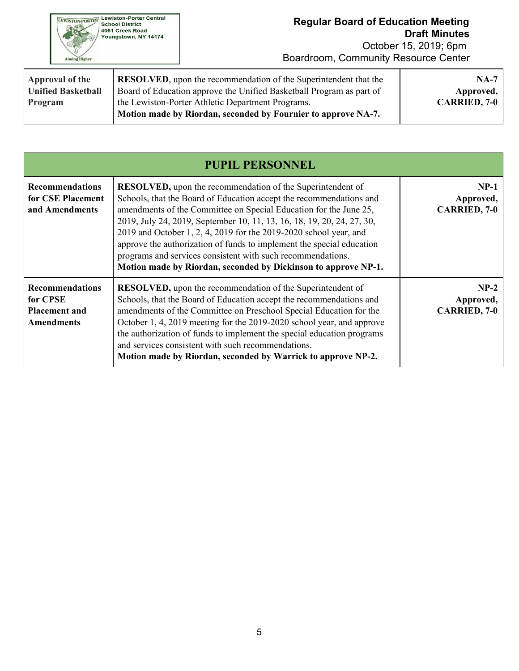| <b>Lewiston-Porter Central</b><br><b>WISTON-PORTER</b><br><b>School District</b><br>4061 Creek Road<br>Youngstown, NY 14174<br><b>Aiming Higher</b> |  |
|-----------------------------------------------------------------------------------------------------------------------------------------------------|--|
|-----------------------------------------------------------------------------------------------------------------------------------------------------|--|

| Approval of the           | <b>RESOLVED</b> , upon the recommendation of the Superintendent that the                                           | $NA-7$              |
|---------------------------|--------------------------------------------------------------------------------------------------------------------|---------------------|
| <b>Unified Basketball</b> | Board of Education approve the Unified Basketball Program as part of                                               | Approved,           |
| Program                   | the Lewiston-Porter Athletic Department Programs.<br>Motion made by Riordan, seconded by Fournier to approve NA-7. | <b>CARRIED, 7-0</b> |

|                                                                                 | <b>PUPIL PERSONNEL</b>                                                                                                                                                                                                                                                                                                                                                                                                                                                                                                                                                  |                                            |
|---------------------------------------------------------------------------------|-------------------------------------------------------------------------------------------------------------------------------------------------------------------------------------------------------------------------------------------------------------------------------------------------------------------------------------------------------------------------------------------------------------------------------------------------------------------------------------------------------------------------------------------------------------------------|--------------------------------------------|
| <b>Recommendations</b><br>for CSE Placement<br>and Amendments                   | <b>RESOLVED</b> , upon the recommendation of the Superintendent of<br>Schools, that the Board of Education accept the recommendations and<br>amendments of the Committee on Special Education for the June 25,<br>2019, July 24, 2019, September 10, 11, 13, 16, 18, 19, 20, 24, 27, 30,<br>2019 and October 1, 2, 4, 2019 for the 2019-2020 school year, and<br>approve the authorization of funds to implement the special education<br>programs and services consistent with such recommendations.<br>Motion made by Riordan, seconded by Dickinson to approve NP-1. | $NP-1$<br>Approved,<br><b>CARRIED, 7-0</b> |
| <b>Recommendations</b><br>for CPSE<br><b>Placement and</b><br><b>Amendments</b> | <b>RESOLVED</b> , upon the recommendation of the Superintendent of<br>Schools, that the Board of Education accept the recommendations and<br>amendments of the Committee on Preschool Special Education for the<br>October 1, 4, 2019 meeting for the 2019-2020 school year, and approve<br>the authorization of funds to implement the special education programs<br>and services consistent with such recommendations.<br>Motion made by Riordan, seconded by Warrick to approve NP-2.                                                                                | $NP-2$<br>Approved,<br><b>CARRIED, 7-0</b> |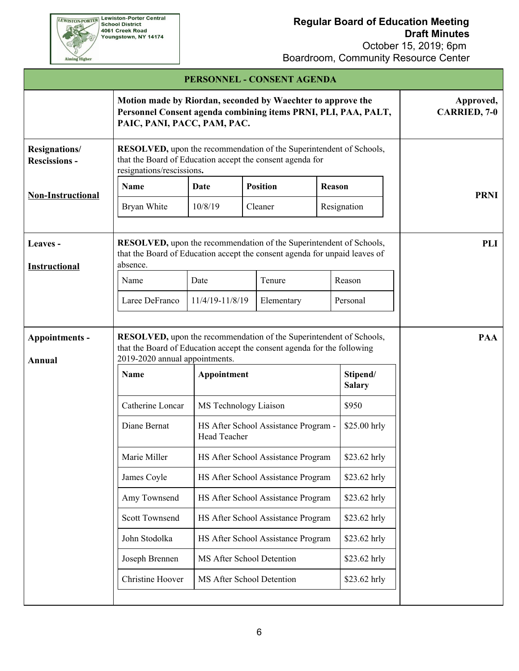$October 15, 2010; 6$ 

| Cole<br><b>Aiming Higher</b>                 |                                                                                                                                                                                  | October 15, 2019; 6pm<br>Boardroom, Community Resource Center                                                                                                |                                                      |  |              |             |
|----------------------------------------------|----------------------------------------------------------------------------------------------------------------------------------------------------------------------------------|--------------------------------------------------------------------------------------------------------------------------------------------------------------|------------------------------------------------------|--|--------------|-------------|
|                                              |                                                                                                                                                                                  | PERSONNEL - CONSENT AGENDA                                                                                                                                   |                                                      |  |              |             |
|                                              |                                                                                                                                                                                  | Motion made by Riordan, seconded by Waechter to approve the<br>Personnel Consent agenda combining items PRNI, PLI, PAA, PALT,<br>PAIC, PANI, PACC, PAM, PAC. |                                                      |  |              |             |
| <b>Resignations/</b><br><b>Rescissions -</b> | <b>RESOLVED</b> , upon the recommendation of the Superintendent of Schools,<br>that the Board of Education accept the consent agenda for<br>resignations/rescissions.            |                                                                                                                                                              |                                                      |  |              |             |
| <b>Non-Instructional</b>                     | <b>Name</b>                                                                                                                                                                      | Date                                                                                                                                                         | <b>Position</b>                                      |  | Reason       | <b>PRNI</b> |
|                                              | Bryan White                                                                                                                                                                      | 10/8/19                                                                                                                                                      | Cleaner                                              |  | Resignation  |             |
| Leaves -<br><b>Instructional</b>             | RESOLVED, upon the recommendation of the Superintendent of Schools,<br>that the Board of Education accept the consent agenda for unpaid leaves of<br>absence.                    |                                                                                                                                                              |                                                      |  |              | <b>PLI</b>  |
|                                              | Name                                                                                                                                                                             | Date                                                                                                                                                         | Tenure                                               |  | Reason       |             |
|                                              | Laree DeFranco                                                                                                                                                                   | 11/4/19-11/8/19<br>Elementary                                                                                                                                |                                                      |  | Personal     |             |
| Appointments -<br>Annual                     | RESOLVED, upon the recommendation of the Superintendent of Schools,<br>that the Board of Education accept the consent agenda for the following<br>2019-2020 annual appointments. |                                                                                                                                                              |                                                      |  |              | <b>PAA</b>  |
|                                              | Name                                                                                                                                                                             | Appointment                                                                                                                                                  | Stipend/<br><b>Salary</b>                            |  |              |             |
|                                              | Catherine Loncar                                                                                                                                                                 | MS Technology Liaison                                                                                                                                        |                                                      |  | \$950        |             |
|                                              | Diane Bernat                                                                                                                                                                     | Head Teacher                                                                                                                                                 | \$25.00 hrly<br>HS After School Assistance Program - |  |              |             |
|                                              | Marie Miller                                                                                                                                                                     |                                                                                                                                                              | HS After School Assistance Program                   |  | \$23.62 hrly |             |
|                                              | James Coyle                                                                                                                                                                      |                                                                                                                                                              | HS After School Assistance Program                   |  | \$23.62 hrly |             |
|                                              | Amy Townsend                                                                                                                                                                     |                                                                                                                                                              | HS After School Assistance Program                   |  | \$23.62 hrly |             |
|                                              | <b>Scott Townsend</b>                                                                                                                                                            |                                                                                                                                                              | HS After School Assistance Program                   |  | \$23.62 hrly |             |
|                                              | John Stodolka                                                                                                                                                                    |                                                                                                                                                              | HS After School Assistance Program                   |  | \$23.62 hrly |             |
|                                              | Joseph Brennen                                                                                                                                                                   | MS After School Detention                                                                                                                                    |                                                      |  | \$23.62 hrly |             |
|                                              | Christine Hoover                                                                                                                                                                 | MS After School Detention                                                                                                                                    |                                                      |  | \$23.62 hrly |             |
|                                              |                                                                                                                                                                                  |                                                                                                                                                              |                                                      |  |              |             |

**EEWISTON-PORTER Lewiston-Porter Central**<br>School District<br>4061 Creek Road<br>Youngstown, NY 14174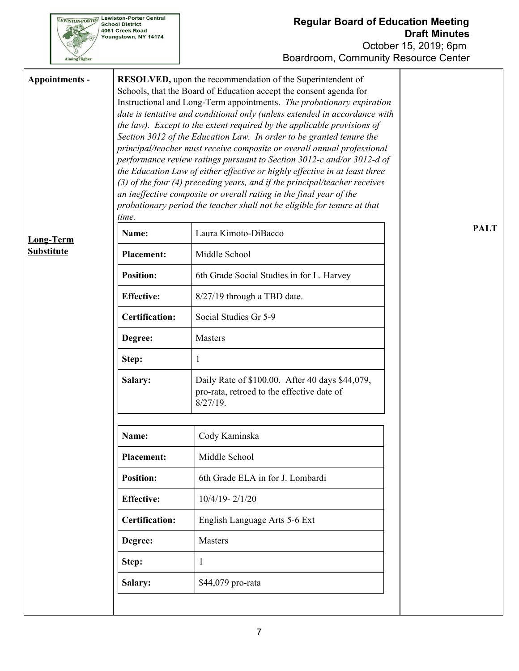

| Appointments -    | time.                 | <b>RESOLVED</b> , upon the recommendation of the Superintendent of<br>Schools, that the Board of Education accept the consent agenda for<br>Instructional and Long-Term appointments. The probationary expiration<br>date is tentative and conditional only (unless extended in accordance with<br>the law). Except to the extent required by the applicable provisions of<br>Section 3012 of the Education Law. In order to be granted tenure the<br>principal/teacher must receive composite or overall annual professional<br>performance review ratings pursuant to Section 3012-c and/or 3012-d of<br>the Education Law of either effective or highly effective in at least three<br>(3) of the four (4) preceding years, and if the principal/teacher receives<br>an ineffective composite or overall rating in the final year of the<br>probationary period the teacher shall not be eligible for tenure at that |             |  |  |
|-------------------|-----------------------|-------------------------------------------------------------------------------------------------------------------------------------------------------------------------------------------------------------------------------------------------------------------------------------------------------------------------------------------------------------------------------------------------------------------------------------------------------------------------------------------------------------------------------------------------------------------------------------------------------------------------------------------------------------------------------------------------------------------------------------------------------------------------------------------------------------------------------------------------------------------------------------------------------------------------|-------------|--|--|
| <b>Long-Term</b>  | Name:                 | Laura Kimoto-DiBacco                                                                                                                                                                                                                                                                                                                                                                                                                                                                                                                                                                                                                                                                                                                                                                                                                                                                                                    | <b>PALT</b> |  |  |
| <b>Substitute</b> | <b>Placement:</b>     | Middle School                                                                                                                                                                                                                                                                                                                                                                                                                                                                                                                                                                                                                                                                                                                                                                                                                                                                                                           |             |  |  |
|                   | <b>Position:</b>      | 6th Grade Social Studies in for L. Harvey                                                                                                                                                                                                                                                                                                                                                                                                                                                                                                                                                                                                                                                                                                                                                                                                                                                                               |             |  |  |
|                   | <b>Effective:</b>     | 8/27/19 through a TBD date.                                                                                                                                                                                                                                                                                                                                                                                                                                                                                                                                                                                                                                                                                                                                                                                                                                                                                             |             |  |  |
|                   | <b>Certification:</b> | Social Studies Gr 5-9                                                                                                                                                                                                                                                                                                                                                                                                                                                                                                                                                                                                                                                                                                                                                                                                                                                                                                   |             |  |  |
|                   | Degree:               | <b>Masters</b>                                                                                                                                                                                                                                                                                                                                                                                                                                                                                                                                                                                                                                                                                                                                                                                                                                                                                                          |             |  |  |
|                   | Step:                 | 1                                                                                                                                                                                                                                                                                                                                                                                                                                                                                                                                                                                                                                                                                                                                                                                                                                                                                                                       |             |  |  |
|                   | Salary:               | Daily Rate of \$100.00. After 40 days \$44,079,<br>pro-rata, retroed to the effective date of<br>$8/27/19$ .                                                                                                                                                                                                                                                                                                                                                                                                                                                                                                                                                                                                                                                                                                                                                                                                            |             |  |  |
|                   | Name:                 | Cody Kaminska                                                                                                                                                                                                                                                                                                                                                                                                                                                                                                                                                                                                                                                                                                                                                                                                                                                                                                           |             |  |  |
|                   | <b>Placement:</b>     | Middle School                                                                                                                                                                                                                                                                                                                                                                                                                                                                                                                                                                                                                                                                                                                                                                                                                                                                                                           |             |  |  |
|                   | <b>Position:</b>      | 6th Grade ELA in for J. Lombardi                                                                                                                                                                                                                                                                                                                                                                                                                                                                                                                                                                                                                                                                                                                                                                                                                                                                                        |             |  |  |
|                   | <b>Effective:</b>     | $10/4/19 - 2/1/20$                                                                                                                                                                                                                                                                                                                                                                                                                                                                                                                                                                                                                                                                                                                                                                                                                                                                                                      |             |  |  |
|                   | <b>Certification:</b> | English Language Arts 5-6 Ext                                                                                                                                                                                                                                                                                                                                                                                                                                                                                                                                                                                                                                                                                                                                                                                                                                                                                           |             |  |  |
|                   | Degree:               | Masters                                                                                                                                                                                                                                                                                                                                                                                                                                                                                                                                                                                                                                                                                                                                                                                                                                                                                                                 |             |  |  |
|                   | Step:                 | 1                                                                                                                                                                                                                                                                                                                                                                                                                                                                                                                                                                                                                                                                                                                                                                                                                                                                                                                       |             |  |  |
|                   | Salary:               | \$44,079 pro-rata                                                                                                                                                                                                                                                                                                                                                                                                                                                                                                                                                                                                                                                                                                                                                                                                                                                                                                       |             |  |  |
|                   |                       |                                                                                                                                                                                                                                                                                                                                                                                                                                                                                                                                                                                                                                                                                                                                                                                                                                                                                                                         |             |  |  |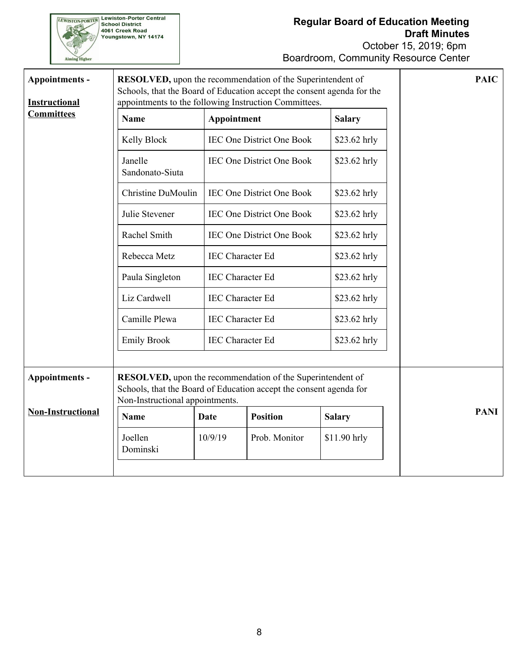

| Appointments -                            | <b>RESOLVED</b> , upon the recommendation of the Superintendent of<br>Schools, that the Board of Education accept the consent agenda for the | <b>PAIC</b>                                      |                                  |               |             |
|-------------------------------------------|----------------------------------------------------------------------------------------------------------------------------------------------|--------------------------------------------------|----------------------------------|---------------|-------------|
| <b>Instructional</b><br><b>Committees</b> | appointments to the following Instruction Committees.                                                                                        |                                                  |                                  |               |             |
|                                           | <b>Name</b>                                                                                                                                  | Appointment                                      |                                  | <b>Salary</b> |             |
|                                           | Kelly Block                                                                                                                                  |                                                  | <b>IEC One District One Book</b> | \$23.62 hrly  |             |
|                                           | Janelle<br>Sandonato-Siuta                                                                                                                   |                                                  | <b>IEC One District One Book</b> | \$23.62 hrly  |             |
|                                           | Christine DuMoulin                                                                                                                           |                                                  | <b>IEC One District One Book</b> | \$23.62 hrly  |             |
|                                           | Julie Stevener                                                                                                                               |                                                  | <b>IEC One District One Book</b> | $$23.62$ hrly |             |
|                                           | Rachel Smith                                                                                                                                 | <b>IEC One District One Book</b><br>\$23.62 hrly |                                  |               |             |
|                                           | Rebecca Metz                                                                                                                                 | <b>IEC</b> Character Ed<br>$$23.62$ hrly         |                                  |               |             |
|                                           | Paula Singleton                                                                                                                              | <b>IEC</b> Character Ed<br>\$23.62 hrly          |                                  |               |             |
|                                           | Liz Cardwell                                                                                                                                 | <b>IEC Character Ed</b>                          |                                  |               |             |
|                                           | Camille Plewa                                                                                                                                | <b>IEC</b> Character Ed                          |                                  |               |             |
|                                           | <b>Emily Brook</b>                                                                                                                           | <b>IEC</b> Character Ed                          |                                  | \$23.62 hrly  |             |
|                                           |                                                                                                                                              |                                                  |                                  |               |             |
| Appointments -                            | <b>RESOLVED</b> , upon the recommendation of the Superintendent of<br>Schools, that the Board of Education accept the consent agenda for     |                                                  |                                  |               |             |
| <b>Non-Instructional</b>                  | Non-Instructional appointments.                                                                                                              |                                                  |                                  |               | <b>PANI</b> |
|                                           | Name                                                                                                                                         | Date                                             | <b>Position</b>                  | <b>Salary</b> |             |
|                                           | Joellen<br>Dominski                                                                                                                          | 10/9/19                                          | Prob. Monitor                    | \$11.90 hrly  |             |
|                                           |                                                                                                                                              |                                                  |                                  |               |             |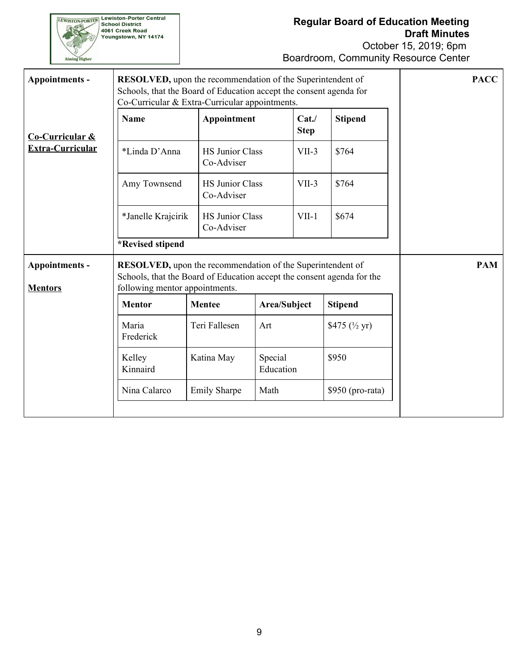**EWISTON-PORTER Lewiston-Porter Central**<br>School District<br>4061 Creek Road<br>Youngstown, NY 14174 Aiming Higher

# **Regular Board of Education Meeting Draft Minutes**

| Appointments -                   | <b>RESOLVED</b> , upon the recommendation of the Superintendent of<br>Schools, that the Board of Education accept the consent agenda for<br>Co-Curricular & Extra-Curricular appointments. |                                      |                      |                     |                          | <b>PACC</b> |
|----------------------------------|--------------------------------------------------------------------------------------------------------------------------------------------------------------------------------------------|--------------------------------------|----------------------|---------------------|--------------------------|-------------|
| <b>Co-Curricular &amp;</b>       | <b>Name</b>                                                                                                                                                                                | Appointment                          |                      | Cat.<br><b>Step</b> | <b>Stipend</b>           |             |
| <b>Extra-Curricular</b>          | *Linda D'Anna                                                                                                                                                                              | <b>HS Junior Class</b><br>Co-Adviser |                      | $VII-3$             | \$764                    |             |
|                                  | Amy Townsend                                                                                                                                                                               | <b>HS Junior Class</b><br>Co-Adviser |                      | $VII-3$             | \$764                    |             |
|                                  | *Janelle Krajcirik                                                                                                                                                                         | <b>HS Junior Class</b><br>Co-Adviser |                      | $VII-1$             | \$674                    |             |
|                                  | *Revised stipend                                                                                                                                                                           |                                      |                      |                     |                          |             |
| Appointments -<br><b>Mentors</b> | <b>RESOLVED</b> , upon the recommendation of the Superintendent of<br>Schools, that the Board of Education accept the consent agenda for the<br>following mentor appointments.             |                                      |                      |                     |                          | <b>PAM</b>  |
|                                  | <b>Mentor</b>                                                                                                                                                                              | <b>Mentee</b>                        | Area/Subject         |                     | <b>Stipend</b>           |             |
|                                  | Maria<br>Frederick                                                                                                                                                                         | Teri Fallesen                        | Art                  |                     | \$475 $(\frac{1}{2}$ yr) |             |
|                                  | Kelley<br>Kinnaird                                                                                                                                                                         | Katina May                           | Special<br>Education |                     | \$950                    |             |
|                                  | Nina Calarco                                                                                                                                                                               | <b>Emily Sharpe</b>                  | Math                 |                     | $$950$ (pro-rata)        |             |
|                                  |                                                                                                                                                                                            |                                      |                      |                     |                          |             |